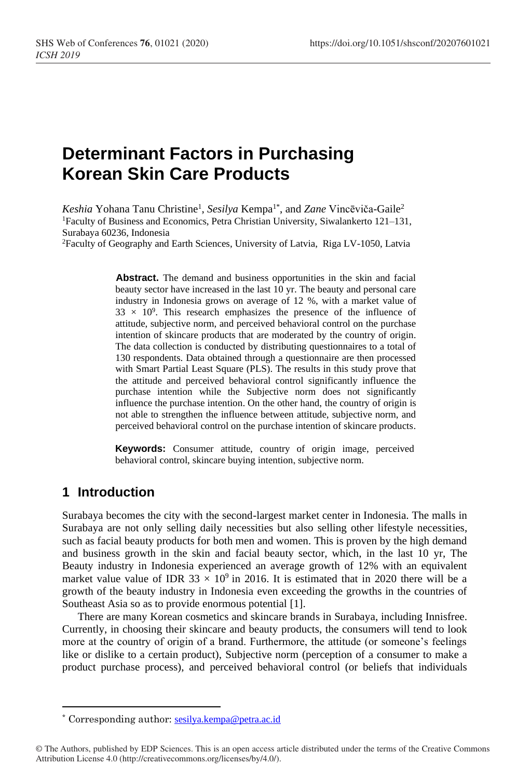# **Determinant Factors in Purchasing Korean Skin Care Products**

Keshia Yohana Tanu Christine<sup>1</sup>, *Sesilya* Kempa<sup>1\*</sup>, and *Zane* Vincēviča-Gaile<sup>2</sup> <sup>1</sup>Faculty of Business and Economics, Petra Christian University, Siwalankerto 121–131, Surabaya 60236, Indonesia

<sup>2</sup>Faculty of Geography and Earth Sciences, University of Latvia, Riga LV-1050, Latvia

**Abstract.** The demand and business opportunities in the skin and facial beauty sector have increased in the last 10 yr. The beauty and personal care industry in Indonesia grows on average of 12 %, with a market value of  $33 \times 10^9$ . This research emphasizes the presence of the influence of attitude, subjective norm, and perceived behavioral control on the purchase intention of skincare products that are moderated by the country of origin. The data collection is conducted by distributing questionnaires to a total of 130 respondents. Data obtained through a questionnaire are then processed with Smart Partial Least Square (PLS). The results in this study prove that the attitude and perceived behavioral control significantly influence the purchase intention while the Subjective norm does not significantly influence the purchase intention. On the other hand, the country of origin is not able to strengthen the influence between attitude, subjective norm, and perceived behavioral control on the purchase intention of skincare products.

**Keywords:** Consumer attitude, country of origin image, perceived behavioral control, skincare buying intention, subjective norm.

# **1 Introduction**

Surabaya becomes the city with the second-largest market center in Indonesia. The malls in Surabaya are not only selling daily necessities but also selling other lifestyle necessities, such as facial beauty products for both men and women. This is proven by the high demand and business growth in the skin and facial beauty sector, which, in the last 10 yr, The Beauty industry in Indonesia experienced an average growth of 12% with an equivalent market value value of IDR 33  $\times$  10<sup>9</sup> in 2016. It is estimated that in 2020 there will be a growth of the beauty industry in Indonesia even exceeding the growths in the countries of Southeast Asia so as to provide enormous potential [1].

There are many Korean cosmetics and skincare brands in Surabaya, including Innisfree. Currently, in choosing their skincare and beauty products, the consumers will tend to look more at the country of origin of a brand. Furthermore, the attitude (or someone's feelings like or dislike to a certain product), Subjective norm (perception of a consumer to make a product purchase process), and perceived behavioral control (or beliefs that individuals

<sup>\*</sup> Corresponding author: [sesilya.kempa@petra.ac.id](mailto:sesilya.kempa@petra.ac.id)

<sup>©</sup> The Authors, published by EDP Sciences. This is an open access article distributed under the terms of the Creative Commons Attribution License 4.0 (http://creativecommons.org/licenses/by/4.0/).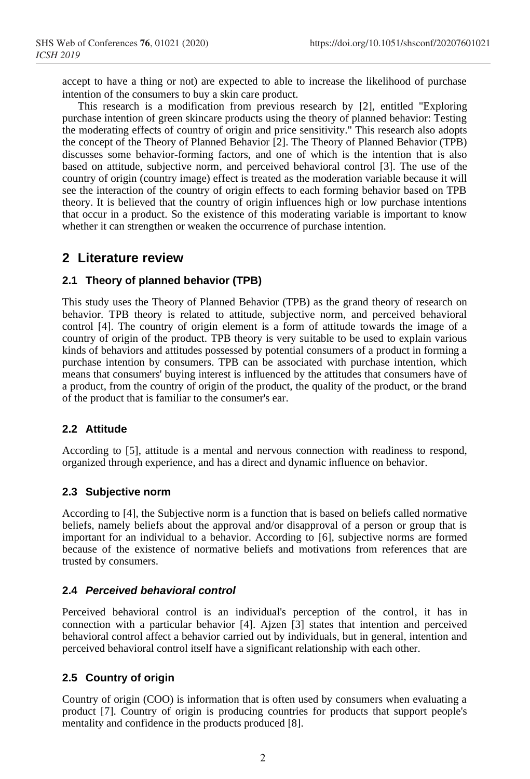accept to have a thing or not) are expected to able to increase the likelihood of purchase intention of the consumers to buy a skin care product.

This research is a modification from previous research by [2], entitled "Exploring purchase intention of green skincare products using the theory of planned behavior: Testing the moderating effects of country of origin and price sensitivity." This research also adopts the concept of the Theory of Planned Behavior [2]. The Theory of Planned Behavior (TPB) discusses some behavior-forming factors, and one of which is the intention that is also based on attitude, subjective norm, and perceived behavioral control [3]. The use of the country of origin (country image) effect is treated as the moderation variable because it will see the interaction of the country of origin effects to each forming behavior based on TPB theory. It is believed that the country of origin influences high or low purchase intentions that occur in a product. So the existence of this moderating variable is important to know whether it can strengthen or weaken the occurrence of purchase intention.

# **2 Literature review**

### **2.1 Theory of planned behavior (TPB)**

This study uses the Theory of Planned Behavior (TPB) as the grand theory of research on behavior. TPB theory is related to attitude, subjective norm, and perceived behavioral control [4]. The country of origin element is a form of attitude towards the image of a country of origin of the product. TPB theory is very suitable to be used to explain various kinds of behaviors and attitudes possessed by potential consumers of a product in forming a purchase intention by consumers. TPB can be associated with purchase intention, which means that consumers' buying interest is influenced by the attitudes that consumers have of a product, from the country of origin of the product, the quality of the product, or the brand of the product that is familiar to the consumer's ear.

### **2.2 Attitude**

According to [5], attitude is a mental and nervous connection with readiness to respond, organized through experience, and has a direct and dynamic influence on behavior.

### **2.3 Subjective norm**

According to [4], the Subjective norm is a function that is based on beliefs called normative beliefs, namely beliefs about the approval and/or disapproval of a person or group that is important for an individual to a behavior. According to [6], subjective norms are formed because of the existence of normative beliefs and motivations from references that are trusted by consumers.

### **2.4** *Perceived behavioral control*

Perceived behavioral control is an individual's perception of the control, it has in connection with a particular behavior [4]. Ajzen [3] states that intention and perceived behavioral control affect a behavior carried out by individuals, but in general, intention and perceived behavioral control itself have a significant relationship with each other.

### **2.5 Country of origin**

Country of origin (COO) is information that is often used by consumers when evaluating a product [7]. Country of origin is producing countries for products that support people's mentality and confidence in the products produced [8].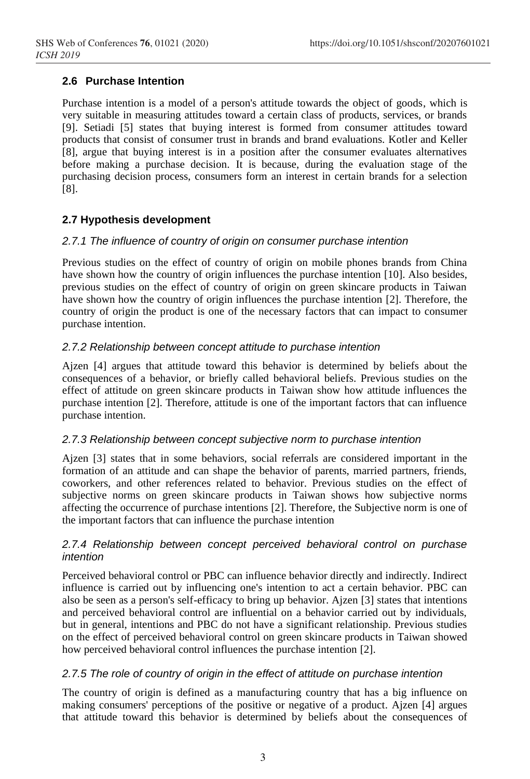#### **2.6 Purchase Intention**

Purchase intention is a model of a person's attitude towards the object of goods, which is very suitable in measuring attitudes toward a certain class of products, services, or brands [9]. Setiadi [5] states that buying interest is formed from consumer attitudes toward products that consist of consumer trust in brands and brand evaluations. Kotler and Keller [8], argue that buying interest is in a position after the consumer evaluates alternatives before making a purchase decision. It is because, during the evaluation stage of the purchasing decision process, consumers form an interest in certain brands for a selection [8].

#### **2.7 Hypothesis development**

#### *2.7.1 The influence of country of origin on consumer purchase intention*

Previous studies on the effect of country of origin on mobile phones brands from China have shown how the country of origin influences the purchase intention [10]. Also besides, previous studies on the effect of country of origin on green skincare products in Taiwan have shown how the country of origin influences the purchase intention [2]. Therefore, the country of origin the product is one of the necessary factors that can impact to consumer purchase intention.

#### *2.7.2 Relationship between concept attitude to purchase intention*

Ajzen [4] argues that attitude toward this behavior is determined by beliefs about the consequences of a behavior, or briefly called behavioral beliefs. Previous studies on the effect of attitude on green skincare products in Taiwan show how attitude influences the purchase intention [2]. Therefore, attitude is one of the important factors that can influence purchase intention.

#### *2.7.3 Relationship between concept subjective norm to purchase intention*

Ajzen [3] states that in some behaviors, social referrals are considered important in the formation of an attitude and can shape the behavior of parents, married partners, friends, coworkers, and other references related to behavior. Previous studies on the effect of subjective norms on green skincare products in Taiwan shows how subjective norms affecting the occurrence of purchase intentions [2]. Therefore, the Subjective norm is one of the important factors that can influence the purchase intention

#### *2.7.4 Relationship between concept perceived behavioral control on purchase intention*

Perceived behavioral control or PBC can influence behavior directly and indirectly. Indirect influence is carried out by influencing one's intention to act a certain behavior. PBC can also be seen as a person's self-efficacy to bring up behavior. Ajzen [3] states that intentions and perceived behavioral control are influential on a behavior carried out by individuals, but in general, intentions and PBC do not have a significant relationship. Previous studies on the effect of perceived behavioral control on green skincare products in Taiwan showed how perceived behavioral control influences the purchase intention [2].

#### *2.7.5 The role of country of origin in the effect of attitude on purchase intention*

The country of origin is defined as a manufacturing country that has a big influence on making consumers' perceptions of the positive or negative of a product. Ajzen [4] argues that attitude toward this behavior is determined by beliefs about the consequences of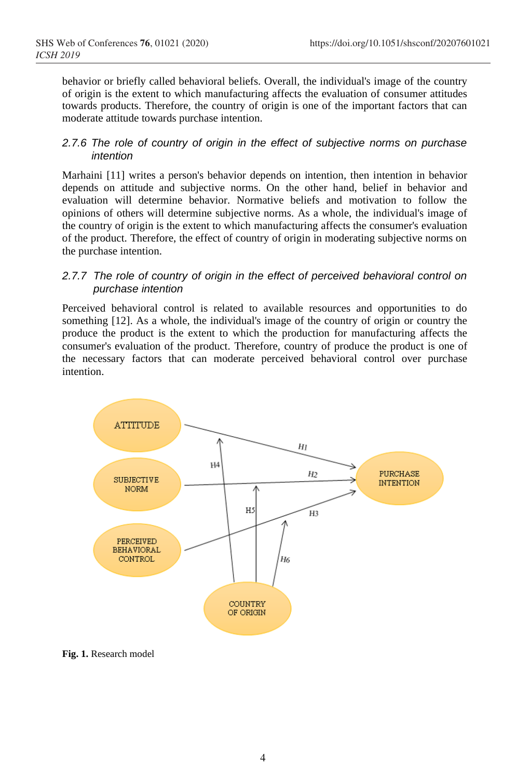behavior or briefly called behavioral beliefs. Overall, the individual's image of the country of origin is the extent to which manufacturing affects the evaluation of consumer attitudes towards products. Therefore, the country of origin is one of the important factors that can moderate attitude towards purchase intention.

#### *2.7.6 The role of country of origin in the effect of subjective norms on purchase intention*

Marhaini [11] writes a person's behavior depends on intention, then intention in behavior depends on attitude and subjective norms. On the other hand, belief in behavior and evaluation will determine behavior. Normative beliefs and motivation to follow the opinions of others will determine subjective norms. As a whole, the individual's image of the country of origin is the extent to which manufacturing affects the consumer's evaluation of the product. Therefore, the effect of country of origin in moderating subjective norms on the purchase intention.

#### 2.7.7 The role of country of origin in the effect of perceived behavioral control on *purchase intention*

Perceived behavioral control is related to available resources and opportunities to do something [12]. As a whole, the individual's image of the country of origin or country the produce the product is the extent to which the production for manufacturing affects the consumer's evaluation of the product. Therefore, country of produce the product is one of the necessary factors that can moderate perceived behavioral control over purchase intention.



**Fig. 1.** Research model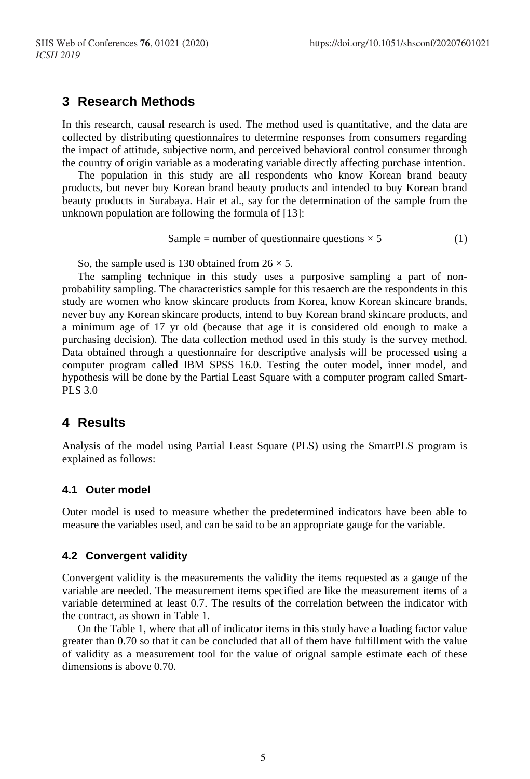# **3 Research Methods**

In this research, causal research is used. The method used is quantitative, and the data are collected by distributing questionnaires to determine responses from consumers regarding the impact of attitude, subjective norm, and perceived behavioral control consumer through the country of origin variable as a moderating variable directly affecting purchase intention.

The population in this study are all respondents who know Korean brand beauty products, but never buy Korean brand beauty products and intended to buy Korean brand beauty products in Surabaya. Hair et al., say for the determination of the sample from the unknown population are following the formula of [13]:

Sample = number of questionnaire questions  $\times$  5 (1)

So, the sample used is 130 obtained from  $26 \times 5$ .

The sampling technique in this study uses a purposive sampling a part of nonprobability sampling. The characteristics sample for this resaerch are the respondents in this study are women who know skincare products from Korea, know Korean skincare brands, never buy any Korean skincare products, intend to buy Korean brand skincare products, and a minimum age of 17 yr old (because that age it is considered old enough to make a purchasing decision). The data collection method used in this study is the survey method. Data obtained through a questionnaire for descriptive analysis will be processed using a computer program called IBM SPSS 16.0. Testing the outer model, inner model, and hypothesis will be done by the Partial Least Square with a computer program called Smart-PLS 3.0

# **4 Results**

Analysis of the model using Partial Least Square (PLS) using the SmartPLS program is explained as follows:

### **4.1 Outer model**

Outer model is used to measure whether the predetermined indicators have been able to measure the variables used, and can be said to be an appropriate gauge for the variable.

### **4.2 Convergent validity**

Convergent validity is the measurements the validity the items requested as a gauge of the variable are needed. The measurement items specified are like the measurement items of a variable determined at least 0.7. The results of the correlation between the indicator with the contract, as shown in Table 1.

On the Table 1, where that all of indicator items in this study have a loading factor value greater than 0.70 so that it can be concluded that all of them have fulfillment with the value of validity as a measurement tool for the value of orignal sample estimate each of these dimensions is above 0.70.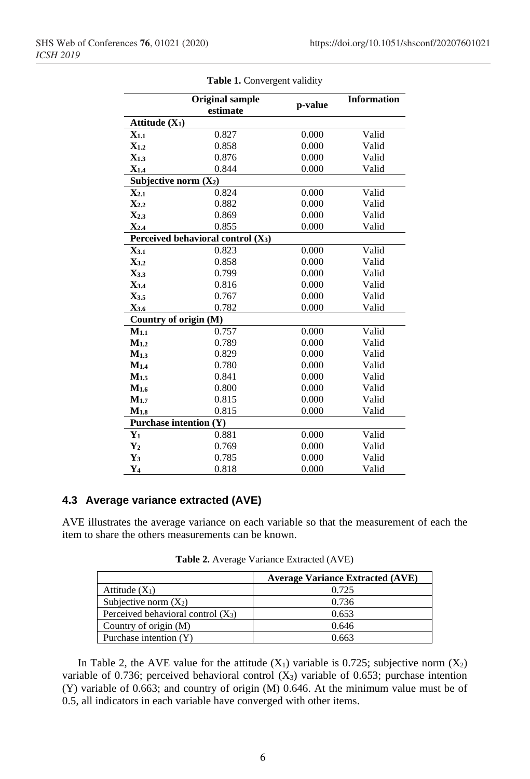| <b>Original sample</b><br>estimate |                                                | p-value | <b>Information</b> |  |
|------------------------------------|------------------------------------------------|---------|--------------------|--|
| Attitude $(X_1)$                   |                                                |         |                    |  |
| $X_{1.1}$                          | 0.827                                          | 0.000   | Valid              |  |
| $X_{1.2}$                          | 0.858                                          | 0.000   | Valid              |  |
| $X_{1.3}$                          | 0.876                                          | 0.000   | Valid              |  |
| $X_{1.4}$                          | 0.844                                          | 0.000   | Valid              |  |
| Subjective norm $(X_2)$            |                                                |         |                    |  |
| $\mathbf{X}_{2.1}$                 | 0.824                                          | 0.000   | Valid              |  |
| $X_{2.2}$                          | 0.882                                          | 0.000   | Valid              |  |
| $X_{2,3}$                          | 0.869                                          | 0.000   | Valid              |  |
| $X_{2.4}$                          | 0.855                                          | 0.000   | Valid              |  |
|                                    | Perceived behavioral control (X <sub>3</sub> ) |         |                    |  |
| $X_{3.1}$                          | 0.823                                          | 0.000   | Valid              |  |
| $X_{3.2}$                          | 0.858                                          | 0.000   | Valid              |  |
| $X_{3,3}$                          | 0.799                                          | 0.000   | Valid              |  |
| $X_{3.4}$                          | 0.816                                          | 0.000   | Valid              |  |
| $X_{3.5}$                          | 0.767                                          | 0.000   | Valid              |  |
| $X_{3.6}$                          | 0.782                                          | 0.000   | Valid              |  |
| Country of origin (M)              |                                                |         |                    |  |
| $M_{1.1}$                          | 0.757                                          | 0.000   | Valid              |  |
| $M_{1,2}$                          | 0.789                                          | 0.000   | Valid              |  |
| $M_{1.3}$                          | 0.829                                          |         | Valid              |  |
| $M_{1.4}$                          | 0.780                                          | 0.000   | Valid              |  |
| $M_{1.5}$                          | 0.841                                          | 0.000   | Valid              |  |
| $M_{1.6}$                          | 0.800                                          | 0.000   | Valid              |  |
| $M_{1.7}$                          | 0.815                                          | 0.000   | Valid              |  |
| $M_{1.8}$                          | 0.815                                          | 0.000   | Valid              |  |
| Purchase intention (Y)             |                                                |         |                    |  |
| ${\bf Y}_1$                        | 0.881                                          | 0.000   | Valid              |  |
| $Y_2$                              | 0.769                                          | 0.000   | Valid              |  |
| $Y_3$                              | 0.785                                          | 0.000   | Valid              |  |
| $Y_4$                              | 0.818                                          | 0.000   | Valid              |  |

**Table 1.** Convergent validity

#### **4.3 Average variance extracted (AVE)**

AVE illustrates the average variance on each variable so that the measurement of each the item to share the others measurements can be known.

| Average Variance Extrac                          |  |  |
|--------------------------------------------------|--|--|
| <b>Table 2.</b> Average Variance Extracted (AVE) |  |  |

|                                      | <b>Average Variance Extracted (AVE)</b> |
|--------------------------------------|-----------------------------------------|
| Attitude $(X_1)$                     | 0.725                                   |
| Subjective norm $(X_2)$              | 0.736                                   |
| Perceived behavioral control $(X_3)$ | 0.653                                   |
| Country of origin (M)                | 0.646                                   |
| Purchase intention (Y)               | 0.663                                   |

In Table 2, the AVE value for the attitude  $(X_1)$  variable is 0.725; subjective norm  $(X_2)$ variable of 0.736; perceived behavioral control  $(X_3)$  variable of 0.653; purchase intention (Y) variable of 0.663; and country of origin (M) 0.646. At the minimum value must be of 0.5, all indicators in each variable have converged with other items.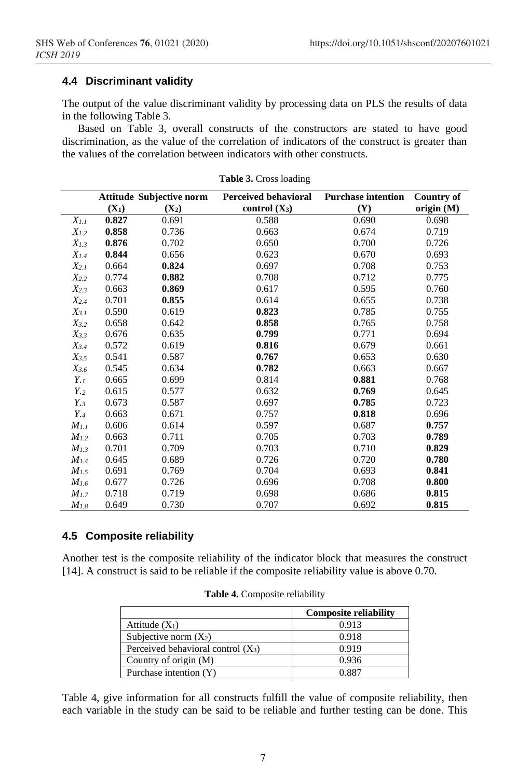#### **4.4 Discriminant validity**

The output of the value discriminant validity by processing data on PLS the results of data in the following Table 3.

Based on Table 3, overall constructs of the constructors are stated to have good discrimination, as the value of the correlation of indicators of the construct is greater than the values of the correlation between indicators with other constructs.

|               |         | <b>Attitude Subjective norm</b> | <b>Perceived behavioral</b> | <b>Purchase intention</b> | <b>Country of</b> |
|---------------|---------|---------------------------------|-----------------------------|---------------------------|-------------------|
|               | $(X_1)$ | $(X_2)$                         | control $(X_3)$             | (Y)                       | origin (M)        |
| $X_{1.1}$     | 0.827   | 0.691                           | 0.588                       | 0.690                     | 0.698             |
| $X_{1,2}$     | 0.858   | 0.736                           | 0.663                       | 0.674                     | 0.719             |
| $X_{1.3}$     | 0.876   | 0.702                           | 0.650                       | 0.700                     | 0.726             |
| $X_{1.4}$     | 0.844   | 0.656                           | 0.623                       | 0.670                     | 0.693             |
| $X_{2.1}$     | 0.664   | 0.824                           | 0.697                       | 0.708                     | 0.753             |
| $X_{2.2}$     | 0.774   | 0.882                           | 0.708                       | 0.712                     | 0.775             |
| $X_{2.3}$     | 0.663   | 0.869                           | 0.617                       | 0.595                     | 0.760             |
| $X_{2.4}$     | 0.701   | 0.855                           | 0.614                       | 0.655                     | 0.738             |
| $X_{3.1}$     | 0.590   | 0.619                           | 0.823                       | 0.785                     | 0.755             |
| $X_{3.2}$     | 0.658   | 0.642                           | 0.858                       | 0.765                     | 0.758             |
| $X_{3.3}$     | 0.676   | 0.635                           | 0.799                       | 0.771                     | 0.694             |
| $X_{3.4}$     | 0.572   | 0.619                           | 0.816                       | 0.679                     | 0.661             |
| $X_{3.5}$     | 0.541   | 0.587                           | 0.767                       | 0.653                     | 0.630             |
| $X_{3.6}$     | 0.545   | 0.634                           | 0.782                       | 0.663                     | 0.667             |
| $Y_{\cdot}$   | 0.665   | 0.699                           | 0.814                       | 0.881                     | 0.768             |
| $Y_{\cdot2}$  | 0.615   | 0.577                           | 0.632                       | 0.769                     | 0.645             |
| $Y_{\cdot3}$  | 0.673   | 0.587                           | 0.697                       | 0.785                     | 0.723             |
| $Y_{\cdot 4}$ | 0.663   | 0.671                           | 0.757                       | 0.818                     | 0.696             |
| $M_{1.1}$     | 0.606   | 0.614                           | 0.597                       | 0.687                     | 0.757             |
| $M_{1,2}$     | 0.663   | 0.711                           | 0.705                       | 0.703                     | 0.789             |
| $M_{1.3}$     | 0.701   | 0.709                           | 0.703                       | 0.710                     | 0.829             |
| $M_{1.4}$     | 0.645   | 0.689                           | 0.726                       | 0.720                     | 0.780             |
| $M_{1.5}$     | 0.691   | 0.769                           | 0.704                       | 0.693                     | 0.841             |
| $M_{1.6}$     | 0.677   | 0.726                           | 0.696                       | 0.708                     | 0.800             |
| $M_{1.7}$     | 0.718   | 0.719                           | 0.698                       | 0.686                     | 0.815             |
| $M_{1.8}$     | 0.649   | 0.730                           | 0.707                       | 0.692                     | 0.815             |

|  |  | Table 3. Cross loading |
|--|--|------------------------|
|--|--|------------------------|

#### **4.5 Composite reliability**

Another test is the composite reliability of the indicator block that measures the construct [14]. A construct is said to be reliable if the composite reliability value is above 0.70.

|                                      | <b>Composite reliability</b> |
|--------------------------------------|------------------------------|
| Attitude $(X_1)$                     | 0.913                        |
| Subjective norm $(X_2)$              | 0.918                        |
| Perceived behavioral control $(X_3)$ | 0.919                        |
| Country of origin (M)                | 0.936                        |
| Purchase intention (Y)               | 0.887                        |

**Table 4.** Composite reliability

Table 4, give information for all constructs fulfill the value of composite reliability, then each variable in the study can be said to be reliable and further testing can be done. This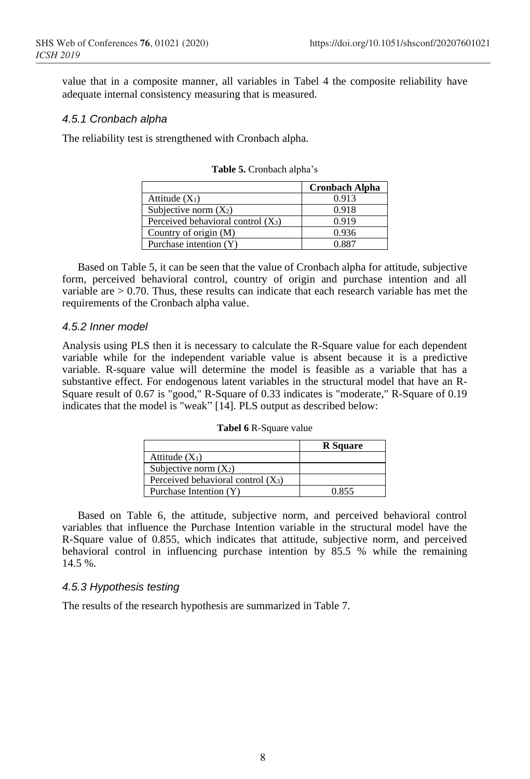value that in a composite manner, all variables in Tabel 4 the composite reliability have adequate internal consistency measuring that is measured.

#### *4.5.1 Cronbach alpha*

The reliability test is strengthened with Cronbach alpha.

|                                      | <b>Cronbach Alpha</b> |
|--------------------------------------|-----------------------|
| Attitude $(X_1)$                     | 0.913                 |
| Subjective norm $(X_2)$              | 0.918                 |
| Perceived behavioral control $(X_3)$ | 0.919                 |
| Country of origin (M)                | 0.936                 |
| Purchase intention (Y)               | በ 887                 |

Based on Table 5, it can be seen that the value of Cronbach alpha for attitude, subjective form, perceived behavioral control, country of origin and purchase intention and all variable are  $> 0.70$ . Thus, these results can indicate that each research variable has met the requirements of the Cronbach alpha value.

#### *4.5.2 Inner model*

Analysis using PLS then it is necessary to calculate the R-Square value for each dependent variable while for the independent variable value is absent because it is a predictive variable. R-square value will determine the model is feasible as a variable that has a substantive effect. For endogenous latent variables in the structural model that have an R-Square result of 0.67 is "good," R-Square of 0.33 indicates is "moderate," R-Square of 0.19 indicates that the model is "weak" [14]. PLS output as described below:

#### **Tabel 6** R-Square value

|                                      | <b>R</b> Square |
|--------------------------------------|-----------------|
| Attitude $(X_1)$                     |                 |
| Subjective norm $(X_2)$              |                 |
| Perceived behavioral control $(X_3)$ |                 |
| Purchase Intention (Y)               | 0.855           |

Based on Table 6, the attitude, subjective norm, and perceived behavioral control variables that influence the Purchase Intention variable in the structural model have the R-Square value of 0.855, which indicates that attitude, subjective norm, and perceived behavioral control in influencing purchase intention by 85.5 % while the remaining 14.5 %.

#### *4.5.3 Hypothesis testing*

The results of the research hypothesis are summarized in Table 7.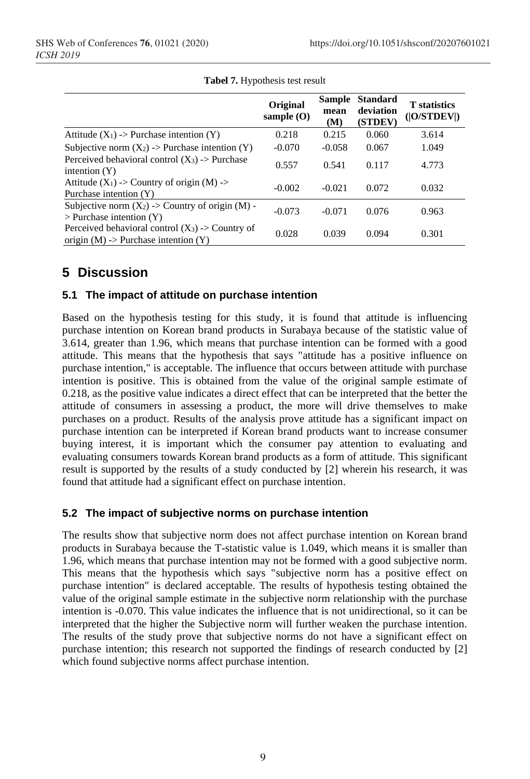|                                                                                                | Original<br>sample $(O)$ | Sample<br>mean<br>(M) | <b>Standard</b><br>deviation<br>(STDEV) | <b>T</b> statistics<br>( O/STDEV ) |
|------------------------------------------------------------------------------------------------|--------------------------|-----------------------|-----------------------------------------|------------------------------------|
| Attitude $(X_1)$ -> Purchase intention $(Y)$                                                   | 0.218                    | 0.215                 | 0.060                                   | 3.614                              |
| Subjective norm $(X_2)$ -> Purchase intention $(Y)$                                            | $-0.070$                 | $-0.058$              | 0.067                                   | 1.049                              |
| Perceived behavioral control $(X_3)$ -> Purchase<br>intention $(Y)$                            | 0.557                    | 0.541                 | 0.117                                   | 4.773                              |
| Attitude $(X_1)$ -> Country of origin $(M)$ -><br>Purchase intention (Y)                       | $-0.002$                 | $-0.021$              | 0.072                                   | 0.032                              |
| Subjective norm $(X_2)$ -> Country of origin $(M)$ -<br>$>$ Purchase intention $(Y)$           | $-0.073$                 | $-0.071$              | 0.076                                   | 0.963                              |
| Perceived behavioral control $(X_3)$ -> Country of<br>origin $(M)$ -> Purchase intention $(Y)$ | 0.028                    | 0.039                 | 0.094                                   | 0.301                              |

**Tabel 7.** Hypothesis test result

# **5 Discussion**

### **5.1 The impact of attitude on purchase intention**

Based on the hypothesis testing for this study, it is found that attitude is influencing purchase intention on Korean brand products in Surabaya because of the statistic value of 3.614, greater than 1.96, which means that purchase intention can be formed with a good attitude. This means that the hypothesis that says "attitude has a positive influence on purchase intention," is acceptable. The influence that occurs between attitude with purchase intention is positive. This is obtained from the value of the original sample estimate of 0.218, as the positive value indicates a direct effect that can be interpreted that the better the attitude of consumers in assessing a product, the more will drive themselves to make purchases on a product. Results of the analysis prove attitude has a significant impact on purchase intention can be interpreted if Korean brand products want to increase consumer buying interest, it is important which the consumer pay attention to evaluating and evaluating consumers towards Korean brand products as a form of attitude. This significant result is supported by the results of a study conducted by [2] wherein his research, it was found that attitude had a significant effect on purchase intention.

### **5.2 The impact of subjective norms on purchase intention**

The results show that subjective norm does not affect purchase intention on Korean brand products in Surabaya because the T-statistic value is 1.049, which means it is smaller than 1.96, which means that purchase intention may not be formed with a good subjective norm. This means that the hypothesis which says "subjective norm has a positive effect on purchase intention" is declared acceptable. The results of hypothesis testing obtained the value of the original sample estimate in the subjective norm relationship with the purchase intention is -0.070. This value indicates the influence that is not unidirectional, so it can be interpreted that the higher the Subjective norm will further weaken the purchase intention. The results of the study prove that subjective norms do not have a significant effect on purchase intention; this research not supported the findings of research conducted by [2] which found subjective norms affect purchase intention.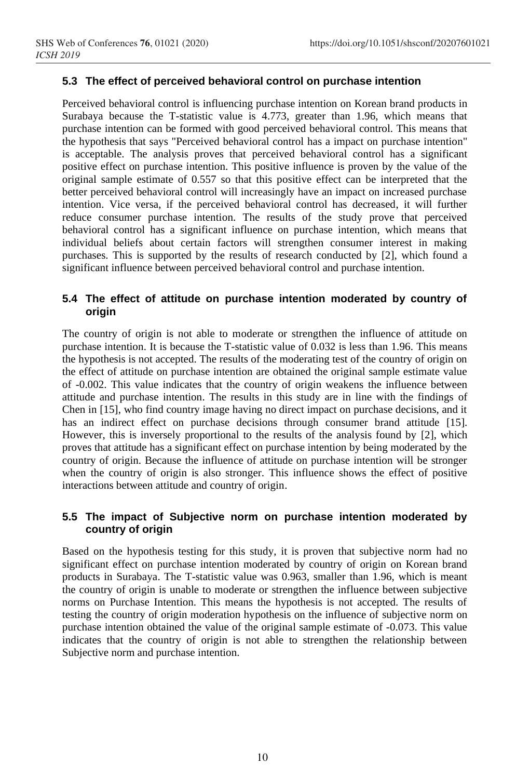### **5.3 The effect of perceived behavioral control on purchase intention**

Perceived behavioral control is influencing purchase intention on Korean brand products in Surabaya because the T-statistic value is 4.773, greater than 1.96, which means that purchase intention can be formed with good perceived behavioral control. This means that the hypothesis that says "Perceived behavioral control has a impact on purchase intention" is acceptable. The analysis proves that perceived behavioral control has a significant positive effect on purchase intention. This positive influence is proven by the value of the original sample estimate of 0.557 so that this positive effect can be interpreted that the better perceived behavioral control will increasingly have an impact on increased purchase intention. Vice versa, if the perceived behavioral control has decreased, it will further reduce consumer purchase intention. The results of the study prove that perceived behavioral control has a significant influence on purchase intention, which means that individual beliefs about certain factors will strengthen consumer interest in making purchases. This is supported by the results of research conducted by [2], which found a significant influence between perceived behavioral control and purchase intention.

## **5.4 The effect of attitude on purchase intention moderated by country of origin**

The country of origin is not able to moderate or strengthen the influence of attitude on purchase intention. It is because the T-statistic value of 0.032 is less than 1.96. This means the hypothesis is not accepted. The results of the moderating test of the country of origin on the effect of attitude on purchase intention are obtained the original sample estimate value of -0.002. This value indicates that the country of origin weakens the influence between attitude and purchase intention. The results in this study are in line with the findings of Chen in [15], who find country image having no direct impact on purchase decisions, and it has an indirect effect on purchase decisions through consumer brand attitude [15]. However, this is inversely proportional to the results of the analysis found by [2], which proves that attitude has a significant effect on purchase intention by being moderated by the country of origin. Because the influence of attitude on purchase intention will be stronger when the country of origin is also stronger. This influence shows the effect of positive interactions between attitude and country of origin.

# **5.5 The impact of Subjective norm on purchase intention moderated by country of origin**

Based on the hypothesis testing for this study, it is proven that subjective norm had no significant effect on purchase intention moderated by country of origin on Korean brand products in Surabaya. The T-statistic value was 0.963, smaller than 1.96, which is meant the country of origin is unable to moderate or strengthen the influence between subjective norms on Purchase Intention. This means the hypothesis is not accepted. The results of testing the country of origin moderation hypothesis on the influence of subjective norm on purchase intention obtained the value of the original sample estimate of -0.073. This value indicates that the country of origin is not able to strengthen the relationship between Subjective norm and purchase intention.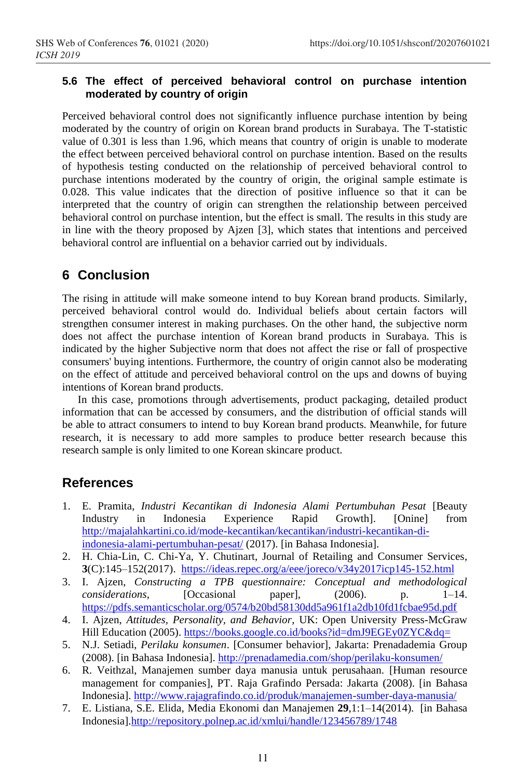## **5.6 The effect of perceived behavioral control on purchase intention moderated by country of origin**

Perceived behavioral control does not significantly influence purchase intention by being moderated by the country of origin on Korean brand products in Surabaya. The T-statistic value of 0.301 is less than 1.96, which means that country of origin is unable to moderate the effect between perceived behavioral control on purchase intention. Based on the results of hypothesis testing conducted on the relationship of perceived behavioral control to purchase intentions moderated by the country of origin, the original sample estimate is 0.028. This value indicates that the direction of positive influence so that it can be interpreted that the country of origin can strengthen the relationship between perceived behavioral control on purchase intention, but the effect is small. The results in this study are in line with the theory proposed by Ajzen [3], which states that intentions and perceived behavioral control are influential on a behavior carried out by individuals.

# **6 Conclusion**

The rising in attitude will make someone intend to buy Korean brand products. Similarly, perceived behavioral control would do. Individual beliefs about certain factors will strengthen consumer interest in making purchases. On the other hand, the subjective norm does not affect the purchase intention of Korean brand products in Surabaya. This is indicated by the higher Subjective norm that does not affect the rise or fall of prospective consumers' buying intentions. Furthermore, the country of origin cannot also be moderating on the effect of attitude and perceived behavioral control on the ups and downs of buying intentions of Korean brand products.

In this case, promotions through advertisements, product packaging, detailed product information that can be accessed by consumers, and the distribution of official stands will be able to attract consumers to intend to buy Korean brand products. Meanwhile, for future research, it is necessary to add more samples to produce better research because this research sample is only limited to one Korean skincare product.

# **References**

- 1. E. Pramita, *Industri Kecantikan di Indonesia Alami Pertumbuhan Pesat* [Beauty Industry in Indonesia Experience Rapid Growth]. [Onine] from [http://majalahkartini.co.id/mode-kecantikan/kecantikan/industri-kecantikan-di](http://majalahkartini.co.id/mode-kecantikan/kecantikan/industri-kecantikan-di-indonesia-alami-pertumbuhan-pesat/)[indonesia-alami-pertumbuhan-pesat/](http://majalahkartini.co.id/mode-kecantikan/kecantikan/industri-kecantikan-di-indonesia-alami-pertumbuhan-pesat/) (2017). [in Bahasa Indonesia].
- 2. H. Chia-Lin, C. Chi-Ya, Y. Chutinart, Journal of Retailing and Consumer Services, **3**(C):145–152(2017). <https://ideas.repec.org/a/eee/joreco/v34y2017icp145-152.html>
- 3. I. Ajzen, *Constructing a TPB questionnaire: Conceptual and methodological considerations*, [Occasional paper], (2006). p. 1–14. <https://pdfs.semanticscholar.org/0574/b20bd58130dd5a961f1a2db10fd1fcbae95d.pdf>
- 4. I. Ajzen, *Attitudes, Personality, and Behavior*, UK: Open University Press-McGraw Hill Education (2005). <https://books.google.co.id/books?id=dmJ9EGEy0ZYC&dq=>
- 5. N.J. Setiadi, *Perilaku konsumen*. [Consumer behavior], Jakarta: Prenadademia Group (2008). [in Bahasa Indonesia]. <http://prenadamedia.com/shop/perilaku-konsumen/>
- 6. R. Veithzal, Manajemen sumber daya manusia untuk perusahaan. [Human resource management for companies], PT. Raja Grafindo Persada: Jakarta (2008). [in Bahasa Indonesia].<http://www.rajagrafindo.co.id/produk/manajemen-sumber-daya-manusia/>
- 7. E. Listiana, S.E. Elida, Media Ekonomi dan Manajemen **29**,1:1–14(2014). [in Bahasa Indonesia][.http://repository.polnep.ac.id/xmlui/handle/123456789/1748](http://repository.polnep.ac.id/xmlui/handle/123456789/1748)